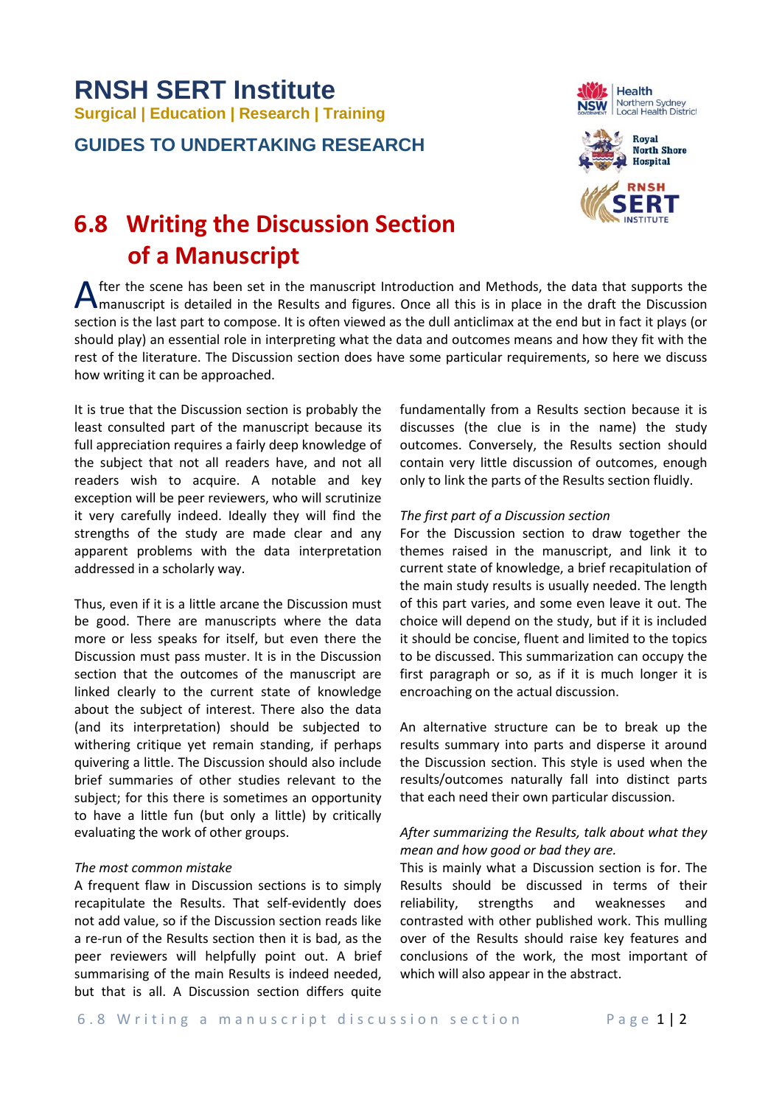# **RNSH SERT Institute Surgical | Education | Research | Training**

**GUIDES TO UNDERTAKING RESEARCH**





# **6.8 Writing the Discussion Section of a Manuscript**

After the scene has been set in the manuscript Introduction and Methods, the data that supports the manuscript is detailed in the Results and figures. Once all this is in place in the draft the Discussion manuscript is detailed in the Results and figures. Once all this is in place in the draft the Discussion section is the last part to compose. It is often viewed as the dull anticlimax at the end but in fact it plays (or should play) an essential role in interpreting what the data and outcomes means and how they fit with the rest of the literature. The Discussion section does have some particular requirements, so here we discuss how writing it can be approached.

It is true that the Discussion section is probably the least consulted part of the manuscript because its full appreciation requires a fairly deep knowledge of the subject that not all readers have, and not all readers wish to acquire. A notable and key exception will be peer reviewers, who will scrutinize it very carefully indeed. Ideally they will find the strengths of the study are made clear and any apparent problems with the data interpretation addressed in a scholarly way.

Thus, even if it is a little arcane the Discussion must be good. There are manuscripts where the data more or less speaks for itself, but even there the Discussion must pass muster. It is in the Discussion section that the outcomes of the manuscript are linked clearly to the current state of knowledge about the subject of interest. There also the data (and its interpretation) should be subjected to withering critique yet remain standing, if perhaps quivering a little. The Discussion should also include brief summaries of other studies relevant to the subject; for this there is sometimes an opportunity to have a little fun (but only a little) by critically evaluating the work of other groups.

## *The most common mistake*

A frequent flaw in Discussion sections is to simply recapitulate the Results. That self-evidently does not add value, so if the Discussion section reads like a re-run of the Results section then it is bad, as the peer reviewers will helpfully point out. A brief summarising of the main Results is indeed needed, but that is all. A Discussion section differs quite

fundamentally from a Results section because it is discusses (the clue is in the name) the study outcomes. Conversely, the Results section should contain very little discussion of outcomes, enough only to link the parts of the Results section fluidly.

### *The first part of a Discussion section*

For the Discussion section to draw together the themes raised in the manuscript, and link it to current state of knowledge, a brief recapitulation of the main study results is usually needed. The length of this part varies, and some even leave it out. The choice will depend on the study, but if it is included it should be concise, fluent and limited to the topics to be discussed. This summarization can occupy the first paragraph or so, as if it is much longer it is encroaching on the actual discussion.

An alternative structure can be to break up the results summary into parts and disperse it around the Discussion section. This style is used when the results/outcomes naturally fall into distinct parts that each need their own particular discussion.

# *After summarizing the Results, talk about what they mean and how good or bad they are.*

This is mainly what a Discussion section is for. The Results should be discussed in terms of their reliability, strengths and weaknesses and contrasted with other published work. This mulling over of the Results should raise key features and conclusions of the work, the most important of which will also appear in the abstract.